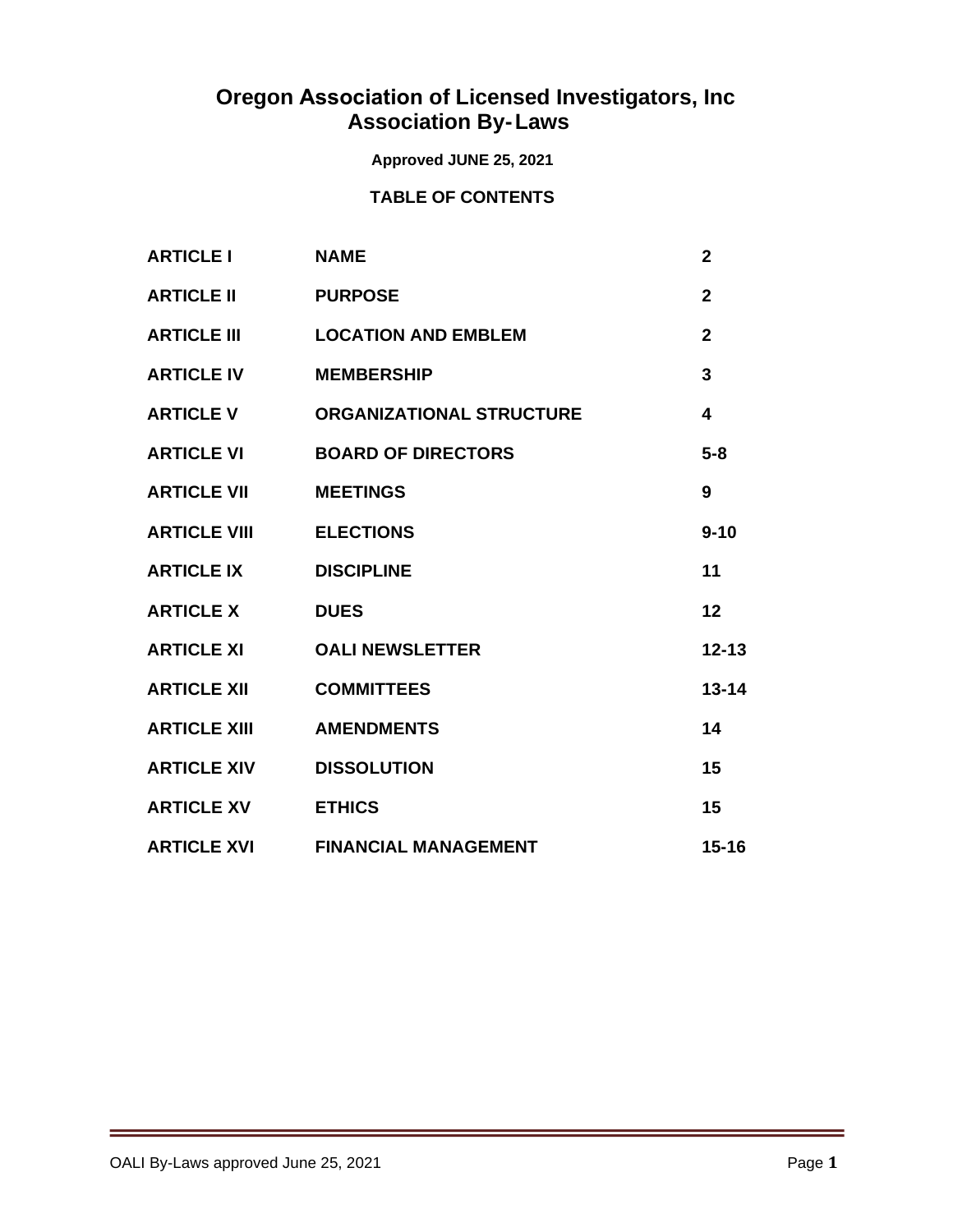# **Oregon Association of Licensed Investigators, Inc Association By-Laws**

# **Approved JUNE 25, 2021**

# **TABLE OF CONTENTS**

| <b>ARTICLE I</b>    | <b>NAME</b>                     | $\overline{2}$ |
|---------------------|---------------------------------|----------------|
| <b>ARTICLE II</b>   | <b>PURPOSE</b>                  | $\overline{2}$ |
| <b>ARTICLE III</b>  | <b>LOCATION AND EMBLEM</b>      | $\overline{2}$ |
| <b>ARTICLE IV</b>   | <b>MEMBERSHIP</b>               | 3              |
| <b>ARTICLE V</b>    | <b>ORGANIZATIONAL STRUCTURE</b> | 4              |
| <b>ARTICLE VI</b>   | <b>BOARD OF DIRECTORS</b>       | $5 - 8$        |
| <b>ARTICLE VII</b>  | <b>MEETINGS</b>                 | 9              |
| <b>ARTICLE VIII</b> | <b>ELECTIONS</b>                | $9 - 10$       |
| <b>ARTICLE IX</b>   | <b>DISCIPLINE</b>               | 11             |
| <b>ARTICLE X</b>    | <b>DUES</b>                     | 12             |
| <b>ARTICLE XI</b>   | <b>OALI NEWSLETTER</b>          | $12 - 13$      |
| <b>ARTICLE XII</b>  | <b>COMMITTEES</b>               | $13 - 14$      |
| <b>ARTICLE XIII</b> | <b>AMENDMENTS</b>               | 14             |
| <b>ARTICLE XIV</b>  | <b>DISSOLUTION</b>              | 15             |
| <b>ARTICLE XV</b>   | <b>ETHICS</b>                   | 15             |
| <b>ARTICLE XVI</b>  | <b>FINANCIAL MANAGEMENT</b>     | $15 - 16$      |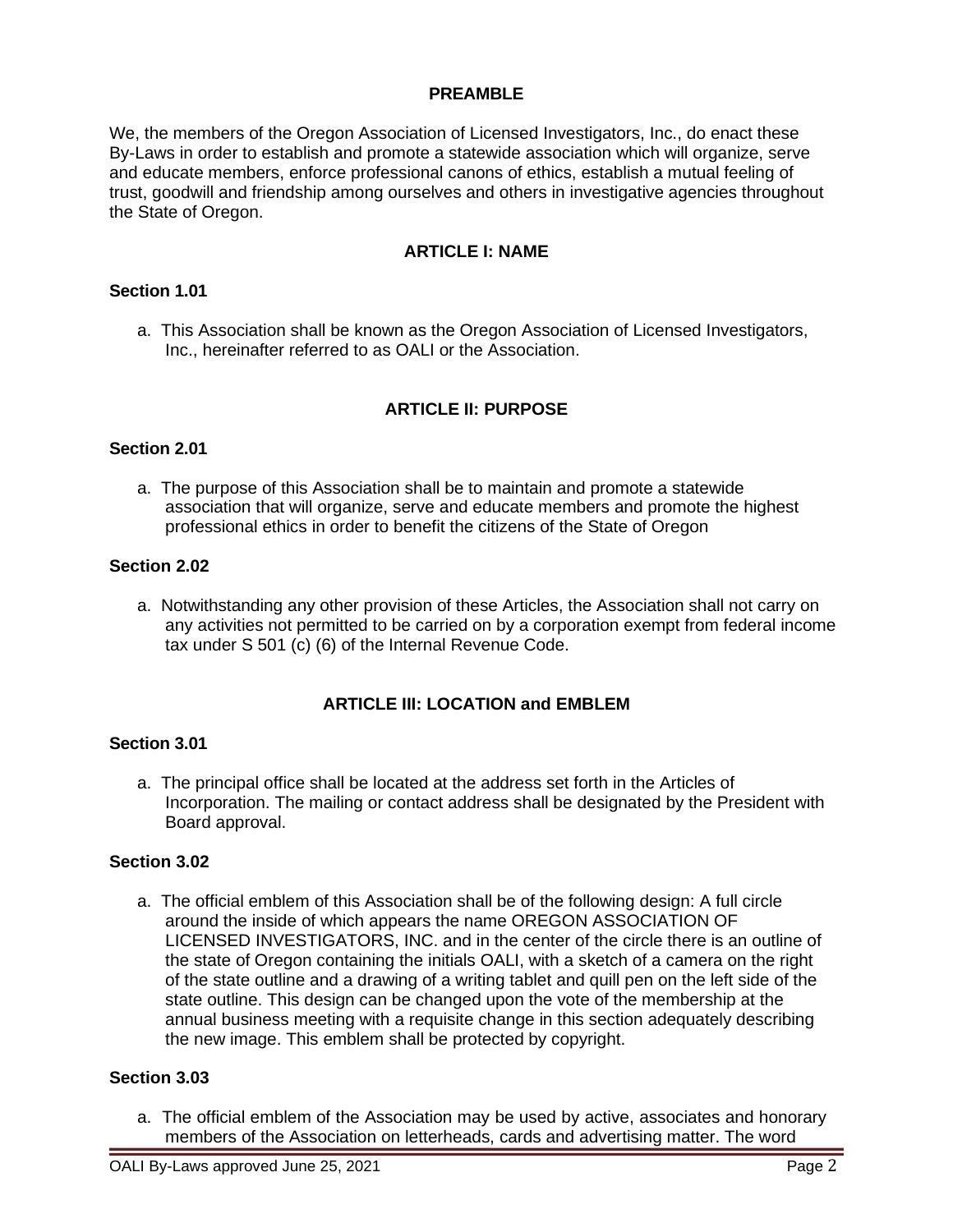#### **PREAMBLE**

We, the members of the Oregon Association of Licensed Investigators, Inc., do enact these By-Laws in order to establish and promote a statewide association which will organize, serve and educate members, enforce professional canons of ethics, establish a mutual feeling of trust, goodwill and friendship among ourselves and others in investigative agencies throughout the State of Oregon.

## **ARTICLE I: NAME**

#### **Section 1.01**

a. This Association shall be known as the Oregon Association of Licensed Investigators, Inc., hereinafter referred to as OALI or the Association.

## **ARTICLE II: PURPOSE**

#### **Section 2.01**

a. The purpose of this Association shall be to maintain and promote a statewide association that will organize, serve and educate members and promote the highest professional ethics in order to benefit the citizens of the State of Oregon

# **Section 2.02**

a. Notwithstanding any other provision of these Articles, the Association shall not carry on any activities not permitted to be carried on by a corporation exempt from federal income tax under S 501 (c) (6) of the Internal Revenue Code.

#### **ARTICLE III: LOCATION and EMBLEM**

#### **Section 3.01**

a. The principal office shall be located at the address set forth in the Articles of Incorporation. The mailing or contact address shall be designated by the President with Board approval.

#### **Section 3.02**

a. The official emblem of this Association shall be of the following design: A full circle around the inside of which appears the name OREGON ASSOCIATION OF LICENSED INVESTIGATORS, INC. and in the center of the circle there is an outline of the state of Oregon containing the initials OALI, with a sketch of a camera on the right of the state outline and a drawing of a writing tablet and quill pen on the left side of the state outline. This design can be changed upon the vote of the membership at the annual business meeting with a requisite change in this section adequately describing the new image. This emblem shall be protected by copyright.

## **Section 3.03**

a. The official emblem of the Association may be used by active, associates and honorary members of the Association on letterheads, cards and advertising matter. The word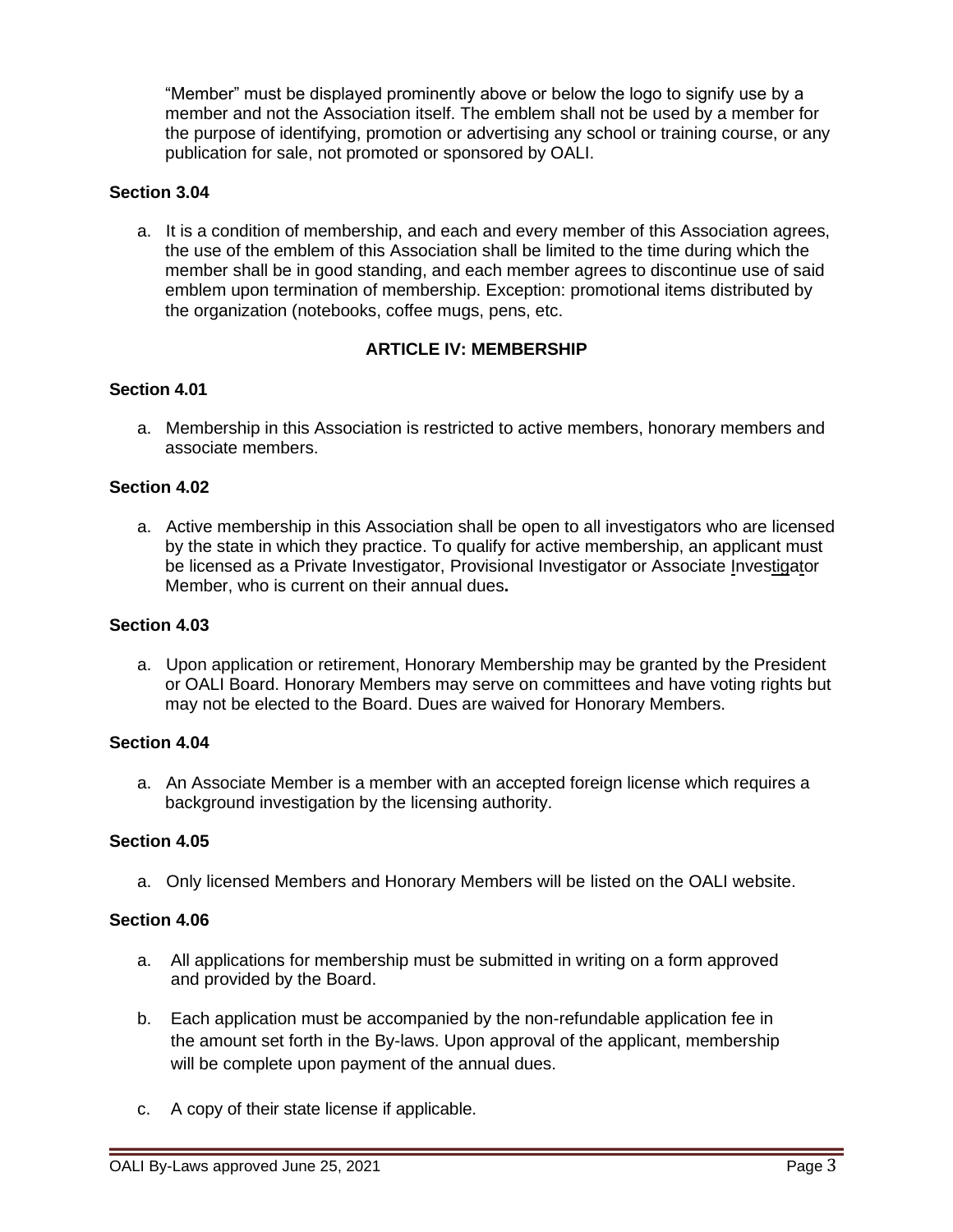"Member" must be displayed prominently above or below the logo to signify use by a member and not the Association itself. The emblem shall not be used by a member for the purpose of identifying, promotion or advertising any school or training course, or any publication for sale, not promoted or sponsored by OALI.

## **Section 3.04**

a. It is a condition of membership, and each and every member of this Association agrees, the use of the emblem of this Association shall be limited to the time during which the member shall be in good standing, and each member agrees to discontinue use of said emblem upon termination of membership. Exception: promotional items distributed by the organization (notebooks, coffee mugs, pens, etc.

# **ARTICLE IV: MEMBERSHIP**

#### **Section 4.01**

a. Membership in this Association is restricted to active members, honorary members and associate members.

## **Section 4.02**

a. Active membership in this Association shall be open to all investigators who are licensed by the state in which they practice. To qualify for active membership, an applicant must be licensed as a Private Investigator, Provisional Investigator or Associate Investigator Member, who is current on their annual dues**.**

#### **Section 4.03**

a. Upon application or retirement, Honorary Membership may be granted by the President or OALI Board. Honorary Members may serve on committees and have voting rights but may not be elected to the Board. Dues are waived for Honorary Members.

#### **Section 4.04**

a. An Associate Member is a member with an accepted foreign license which requires a background investigation by the licensing authority.

### **Section 4.05**

a. Only licensed Members and Honorary Members will be listed on the OALI website.

#### **Section 4.06**

- a. All applications for membership must be submitted in writing on a form approved and provided by the Board.
- b. Each application must be accompanied by the non-refundable application fee in the amount set forth in the By-laws. Upon approval of the applicant, membership will be complete upon payment of the annual dues.
- c. A copy of their state license if applicable.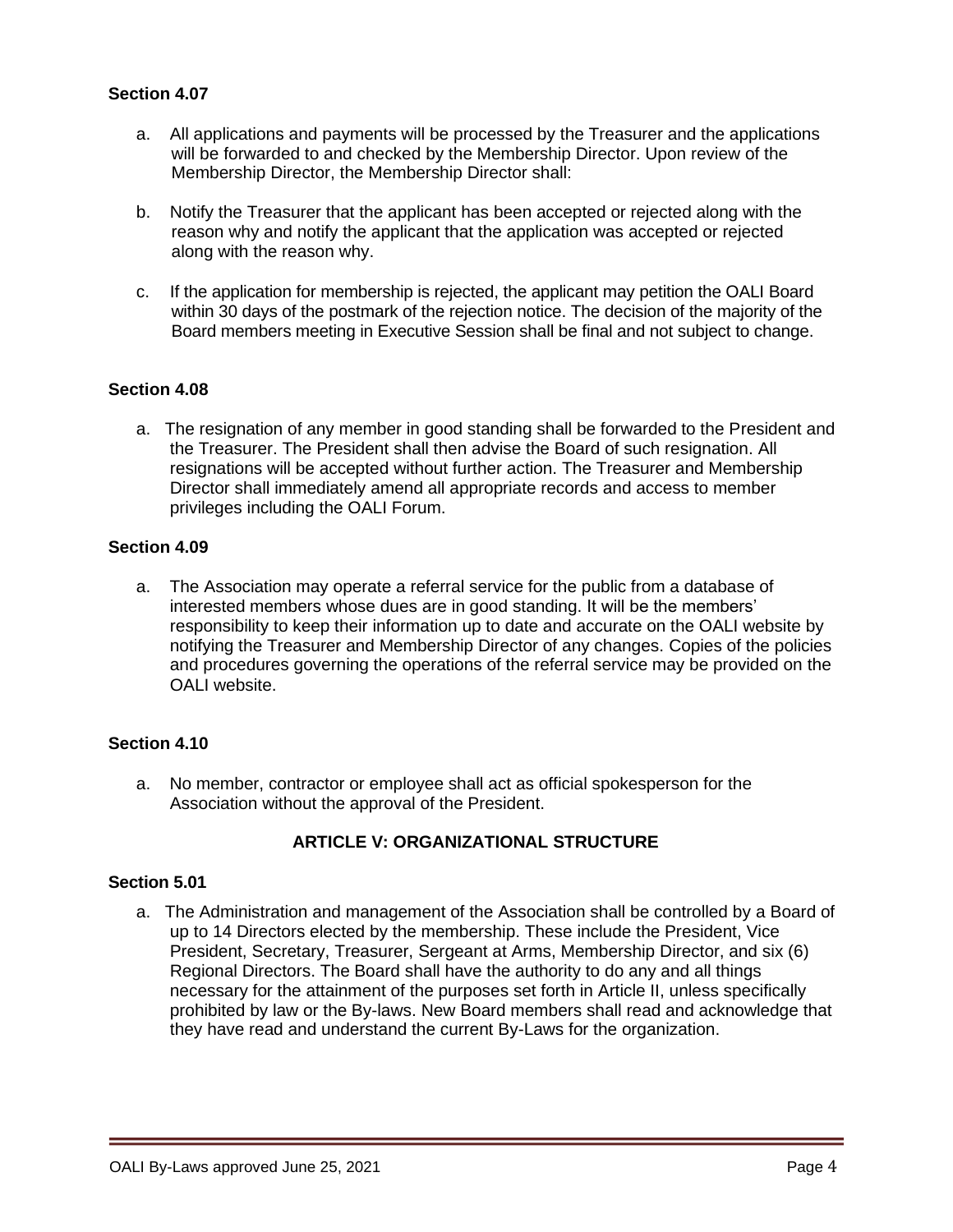## **Section 4.07**

- a. All applications and payments will be processed by the Treasurer and the applications will be forwarded to and checked by the Membership Director. Upon review of the Membership Director, the Membership Director shall:
- b. Notify the Treasurer that the applicant has been accepted or rejected along with the reason why and notify the applicant that the application was accepted or rejected along with the reason why.
- c. If the application for membership is rejected, the applicant may petition the OALI Board within 30 days of the postmark of the rejection notice. The decision of the majority of the Board members meeting in Executive Session shall be final and not subject to change.

#### **Section 4.08**

a. The resignation of any member in good standing shall be forwarded to the President and the Treasurer. The President shall then advise the Board of such resignation. All resignations will be accepted without further action. The Treasurer and Membership Director shall immediately amend all appropriate records and access to member privileges including the OALI Forum.

#### **Section 4.09**

a. The Association may operate a referral service for the public from a database of interested members whose dues are in good standing. It will be the members' responsibility to keep their information up to date and accurate on the OALI website by notifying the Treasurer and Membership Director of any changes. Copies of the policies and procedures governing the operations of the referral service may be provided on the OALI website.

#### **Section 4.10**

a. No member, contractor or employee shall act as official spokesperson for the Association without the approval of the President.

# **ARTICLE V: ORGANIZATIONAL STRUCTURE**

#### **Section 5.01**

a. The Administration and management of the Association shall be controlled by a Board of up to 14 Directors elected by the membership. These include the President, Vice President, Secretary, Treasurer, Sergeant at Arms, Membership Director, and six (6) Regional Directors. The Board shall have the authority to do any and all things necessary for the attainment of the purposes set forth in Article II, unless specifically prohibited by law or the By-laws. New Board members shall read and acknowledge that they have read and understand the current By-Laws for the organization.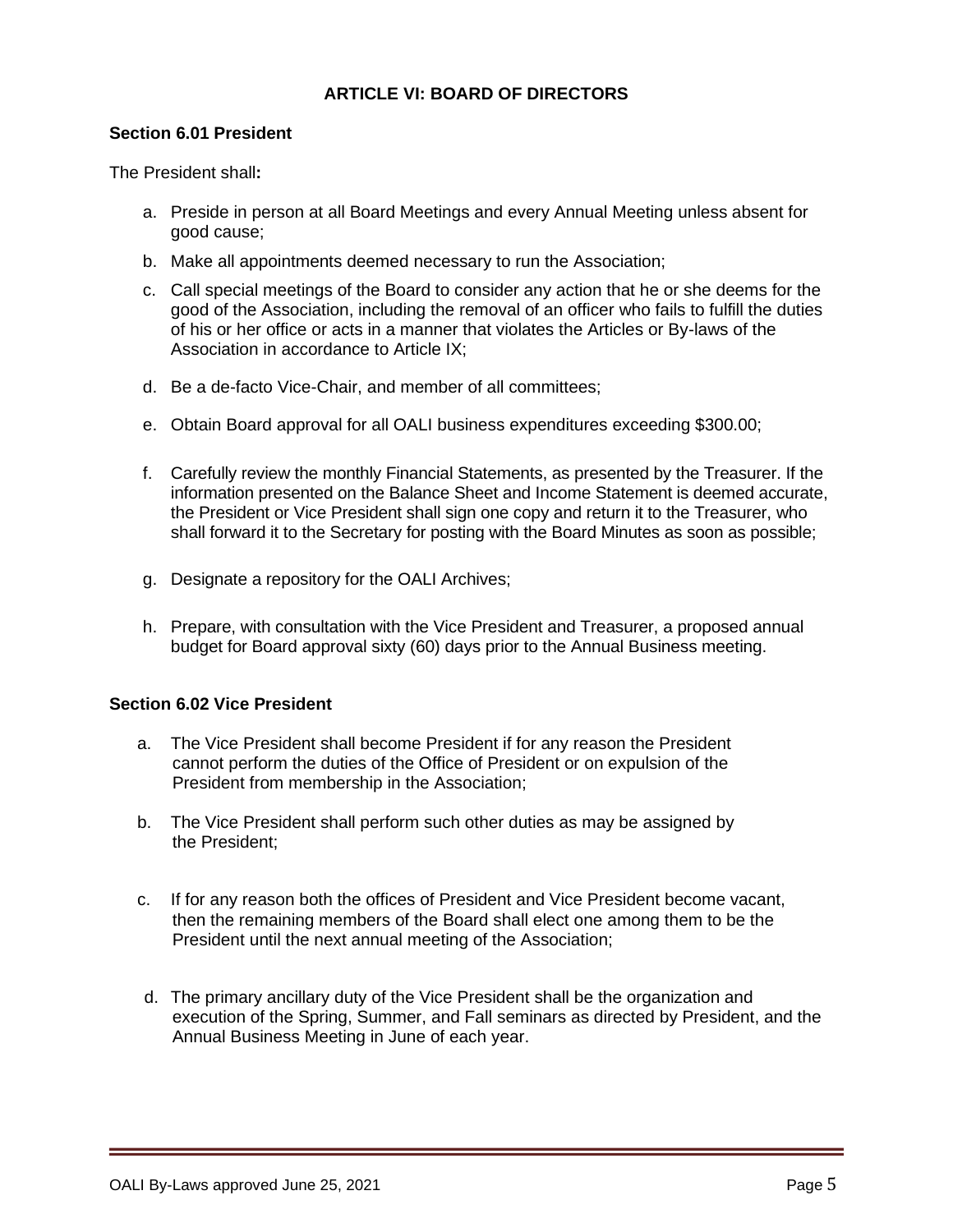# **ARTICLE VI: BOARD OF DIRECTORS**

## **Section 6.01 President**

The President shall**:**

- a. Preside in person at all Board Meetings and every Annual Meeting unless absent for good cause;
- b. Make all appointments deemed necessary to run the Association;
- c. Call special meetings of the Board to consider any action that he or she deems for the good of the Association, including the removal of an officer who fails to fulfill the duties of his or her office or acts in a manner that violates the Articles or By-laws of the Association in accordance to Article IX;
- d. Be a de-facto Vice-Chair, and member of all committees;
- e. Obtain Board approval for all OALI business expenditures exceeding \$300.00;
- f. Carefully review the monthly Financial Statements, as presented by the Treasurer. If the information presented on the Balance Sheet and Income Statement is deemed accurate, the President or Vice President shall sign one copy and return it to the Treasurer, who shall forward it to the Secretary for posting with the Board Minutes as soon as possible;
- g. Designate a repository for the OALI Archives;
- h. Prepare, with consultation with the Vice President and Treasurer, a proposed annual budget for Board approval sixty (60) days prior to the Annual Business meeting.

#### **Section 6.02 Vice President**

- a. The Vice President shall become President if for any reason the President cannot perform the duties of the Office of President or on expulsion of the President from membership in the Association;
- b. The Vice President shall perform such other duties as may be assigned by the President;
- c. If for any reason both the offices of President and Vice President become vacant, then the remaining members of the Board shall elect one among them to be the President until the next annual meeting of the Association;
- d. The primary ancillary duty of the Vice President shall be the organization and execution of the Spring, Summer, and Fall seminars as directed by President, and the Annual Business Meeting in June of each year.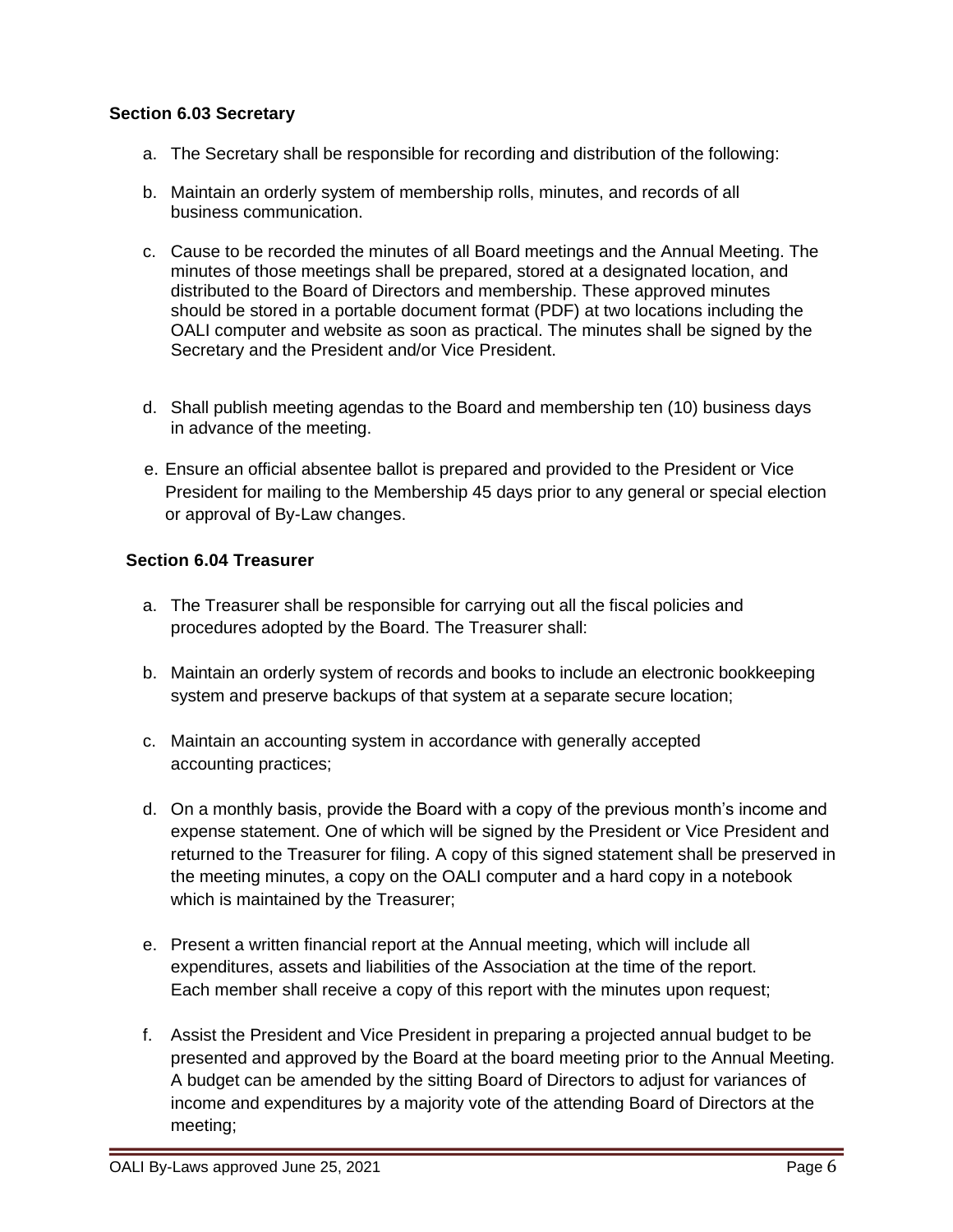## **Section 6.03 Secretary**

- a. The Secretary shall be responsible for recording and distribution of the following:
- b. Maintain an orderly system of membership rolls, minutes, and records of all business communication.
- c. Cause to be recorded the minutes of all Board meetings and the Annual Meeting. The minutes of those meetings shall be prepared, stored at a designated location, and distributed to the Board of Directors and membership. These approved minutes should be stored in a portable document format (PDF) at two locations including the OALI computer and website as soon as practical. The minutes shall be signed by the Secretary and the President and/or Vice President.
- d. Shall publish meeting agendas to the Board and membership ten (10) business days in advance of the meeting.
- e. Ensure an official absentee ballot is prepared and provided to the President or Vice President for mailing to the Membership 45 days prior to any general or special election or approval of By-Law changes.

# **Section 6.04 Treasurer**

- a. The Treasurer shall be responsible for carrying out all the fiscal policies and procedures adopted by the Board. The Treasurer shall:
- b. Maintain an orderly system of records and books to include an electronic bookkeeping system and preserve backups of that system at a separate secure location;
- c. Maintain an accounting system in accordance with generally accepted accounting practices;
- d. On a monthly basis, provide the Board with a copy of the previous month's income and expense statement. One of which will be signed by the President or Vice President and returned to the Treasurer for filing. A copy of this signed statement shall be preserved in the meeting minutes, a copy on the OALI computer and a hard copy in a notebook which is maintained by the Treasurer;
- e. Present a written financial report at the Annual meeting, which will include all expenditures, assets and liabilities of the Association at the time of the report. Each member shall receive a copy of this report with the minutes upon request;
- f. Assist the President and Vice President in preparing a projected annual budget to be presented and approved by the Board at the board meeting prior to the Annual Meeting. A budget can be amended by the sitting Board of Directors to adjust for variances of income and expenditures by a majority vote of the attending Board of Directors at the meeting;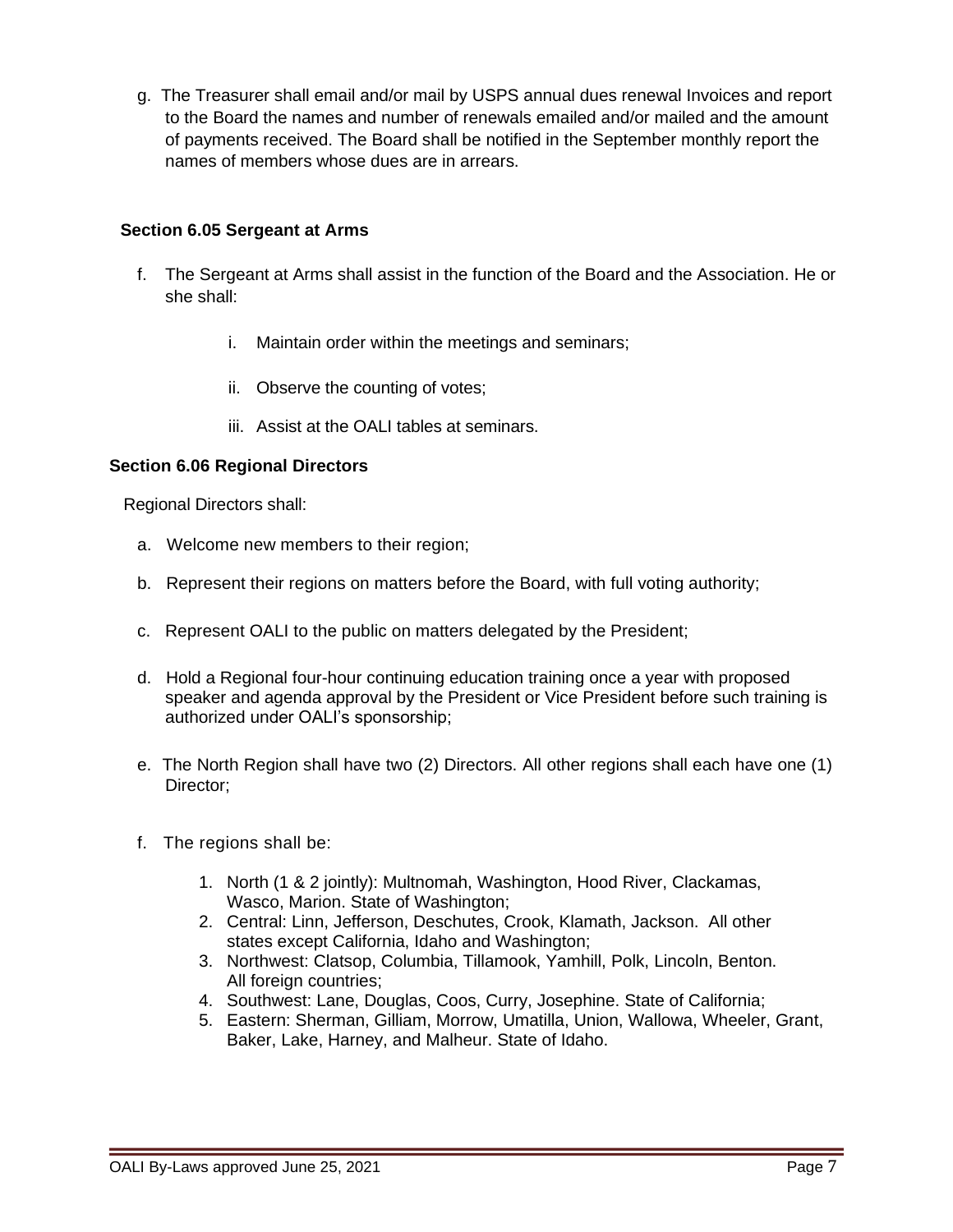g. The Treasurer shall email and/or mail by USPS annual dues renewal Invoices and report to the Board the names and number of renewals emailed and/or mailed and the amount of payments received. The Board shall be notified in the September monthly report the names of members whose dues are in arrears.

# **Section 6.05 Sergeant at Arms**

- f. The Sergeant at Arms shall assist in the function of the Board and the Association. He or she shall:
	- i. Maintain order within the meetings and seminars;
	- ii. Observe the counting of votes;
	- iii. Assist at the OALI tables at seminars.

## **Section 6.06 Regional Directors**

Regional Directors shall:

- a. Welcome new members to their region;
- b. Represent their regions on matters before the Board, with full voting authority;
- c. Represent OALI to the public on matters delegated by the President;
- d. Hold a Regional four-hour continuing education training once a year with proposed speaker and agenda approval by the President or Vice President before such training is authorized under OALI's sponsorship;
- e. The North Region shall have two (2) Directors. All other regions shall each have one (1) Director:
- f. The regions shall be:
	- 1. North (1 & 2 jointly): Multnomah, Washington, Hood River, Clackamas, Wasco, Marion. State of Washington;
	- 2. Central: Linn, Jefferson, Deschutes, Crook, Klamath, Jackson. All other states except California, Idaho and Washington;
	- 3. Northwest: Clatsop, Columbia, Tillamook, Yamhill, Polk, Lincoln, Benton. All foreign countries;
	- 4. Southwest: Lane, Douglas, Coos, Curry, Josephine. State of California;
	- 5. Eastern: Sherman, Gilliam, Morrow, Umatilla, Union, Wallowa, Wheeler, Grant, Baker, Lake, Harney, and Malheur. State of Idaho.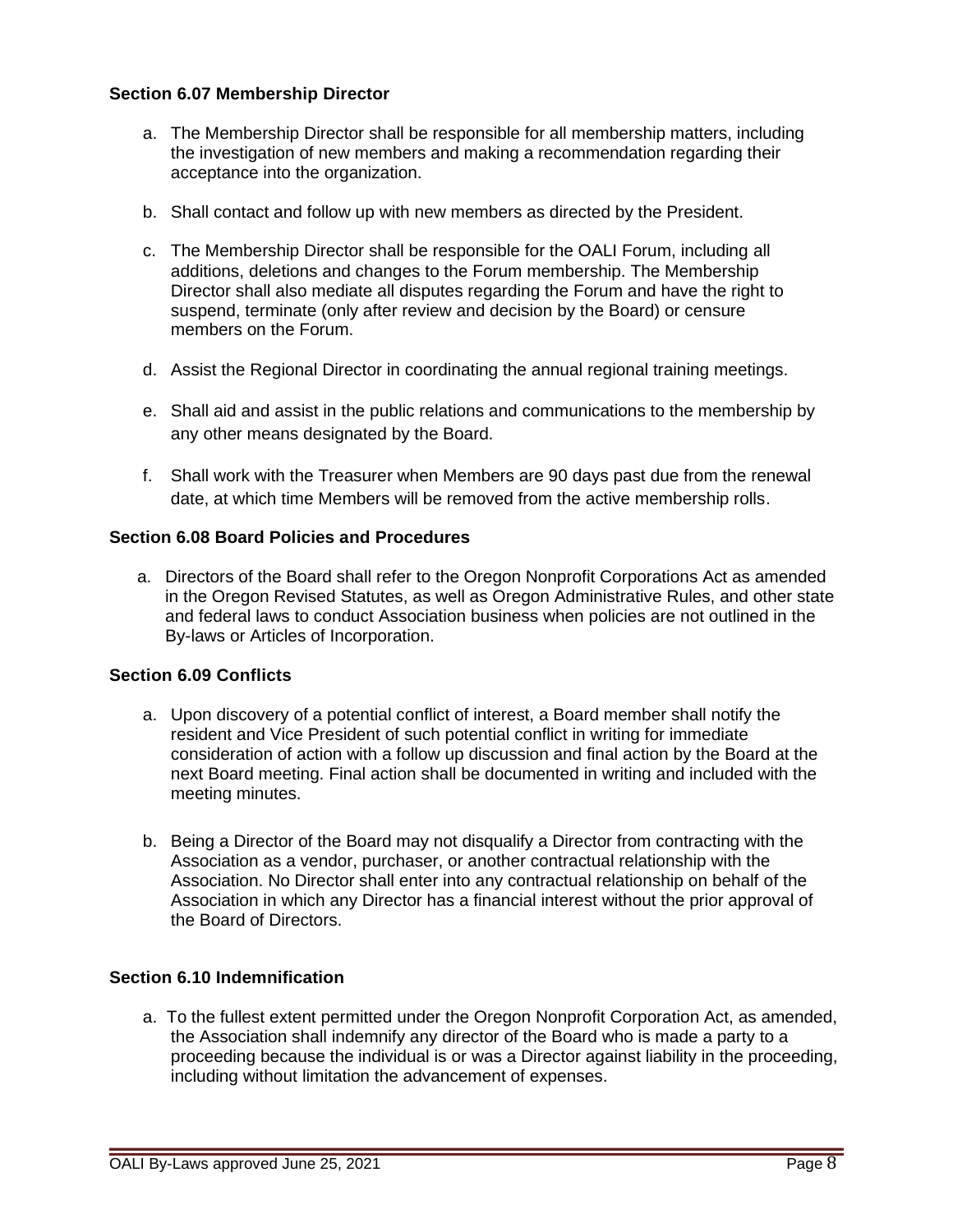## **Section 6.07 Membership Director**

- a. The Membership Director shall be responsible for all membership matters, including the investigation of new members and making a recommendation regarding their acceptance into the organization.
- b. Shall contact and follow up with new members as directed by the President.
- c. The Membership Director shall be responsible for the OALI Forum, including all additions, deletions and changes to the Forum membership. The Membership Director shall also mediate all disputes regarding the Forum and have the right to suspend, terminate (only after review and decision by the Board) or censure members on the Forum.
- d. Assist the Regional Director in coordinating the annual regional training meetings.
- e. Shall aid and assist in the public relations and communications to the membership by any other means designated by the Board.
- f. Shall work with the Treasurer when Members are 90 days past due from the renewal date, at which time Members will be removed from the active membership rolls.

## **Section 6.08 Board Policies and Procedures**

a. Directors of the Board shall refer to the Oregon Nonprofit Corporations Act as amended in the Oregon Revised Statutes, as well as Oregon Administrative Rules, and other state and federal laws to conduct Association business when policies are not outlined in the By-laws or Articles of Incorporation.

## **Section 6.09 Conflicts**

- a. Upon discovery of a potential conflict of interest, a Board member shall notify the resident and Vice President of such potential conflict in writing for immediate consideration of action with a follow up discussion and final action by the Board at the next Board meeting. Final action shall be documented in writing and included with the meeting minutes.
- b. Being a Director of the Board may not disqualify a Director from contracting with the Association as a vendor, purchaser, or another contractual relationship with the Association. No Director shall enter into any contractual relationship on behalf of the Association in which any Director has a financial interest without the prior approval of the Board of Directors.

## **Section 6.10 Indemnification**

a. To the fullest extent permitted under the Oregon Nonprofit Corporation Act, as amended, the Association shall indemnify any director of the Board who is made a party to a proceeding because the individual is or was a Director against liability in the proceeding, including without limitation the advancement of expenses.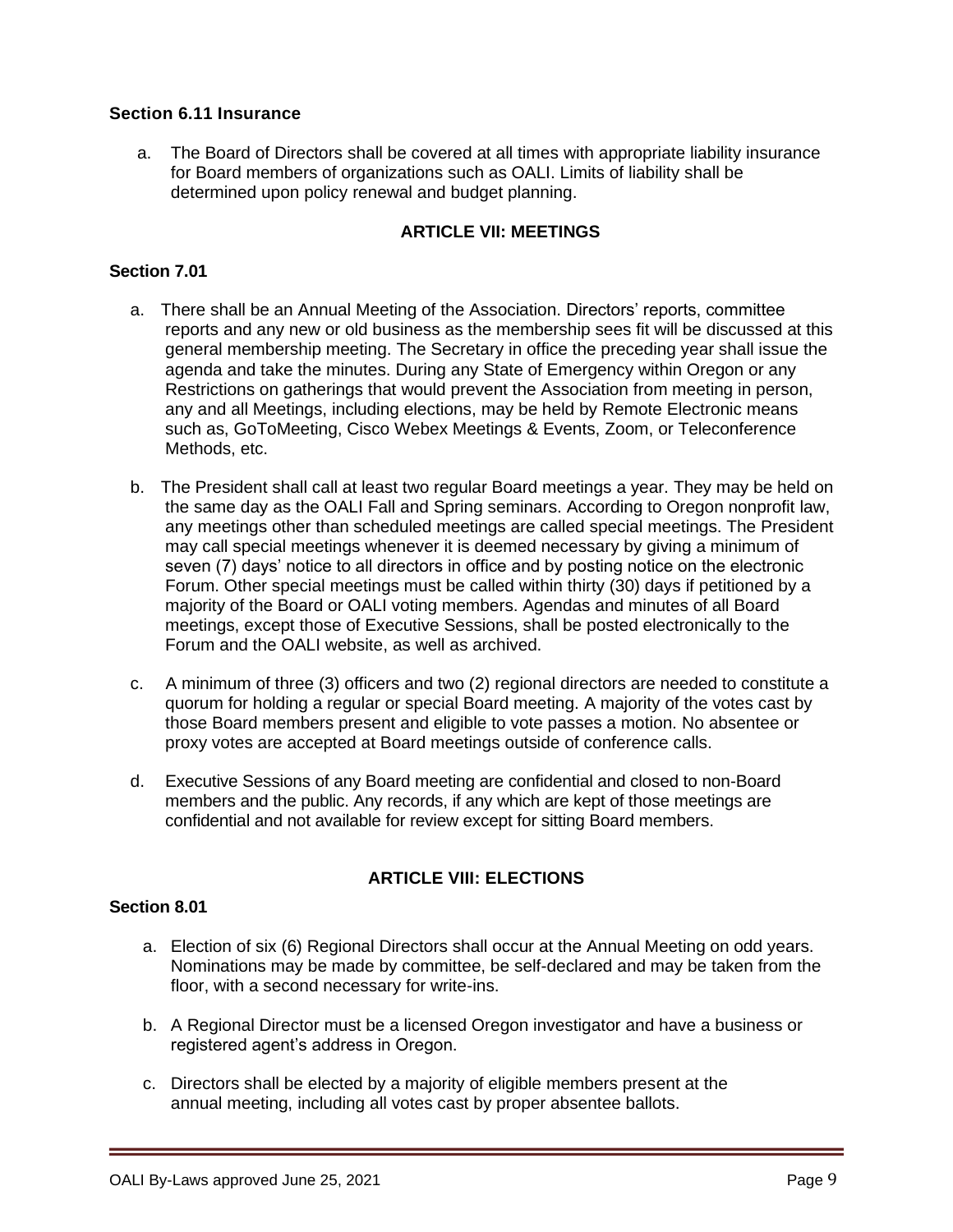## **Section 6.11 Insurance**

a. The Board of Directors shall be covered at all times with appropriate liability insurance for Board members of organizations such as OALI. Limits of liability shall be determined upon policy renewal and budget planning.

## **ARTICLE VII: MEETINGS**

## **Section 7.01**

- a. There shall be an Annual Meeting of the Association. Directors' reports, committee reports and any new or old business as the membership sees fit will be discussed at this general membership meeting. The Secretary in office the preceding year shall issue the agenda and take the minutes. During any State of Emergency within Oregon or any Restrictions on gatherings that would prevent the Association from meeting in person, any and all Meetings, including elections, may be held by Remote Electronic means such as, GoToMeeting, Cisco Webex Meetings & Events, Zoom, or Teleconference Methods, etc.
- b. The President shall call at least two regular Board meetings a year. They may be held on the same day as the OALI Fall and Spring seminars. According to Oregon nonprofit law, any meetings other than scheduled meetings are called special meetings. The President may call special meetings whenever it is deemed necessary by giving a minimum of seven (7) days' notice to all directors in office and by posting notice on the electronic Forum. Other special meetings must be called within thirty (30) days if petitioned by a majority of the Board or OALI voting members. Agendas and minutes of all Board meetings, except those of Executive Sessions, shall be posted electronically to the Forum and the OALI website, as well as archived.
- c. A minimum of three (3) officers and two (2) regional directors are needed to constitute a quorum for holding a regular or special Board meeting. A majority of the votes cast by those Board members present and eligible to vote passes a motion. No absentee or proxy votes are accepted at Board meetings outside of conference calls.
- d. Executive Sessions of any Board meeting are confidential and closed to non-Board members and the public. Any records, if any which are kept of those meetings are confidential and not available for review except for sitting Board members.

# **ARTICLE VIII: ELECTIONS**

#### **Section 8.01**

- a. Election of six (6) Regional Directors shall occur at the Annual Meeting on odd years. Nominations may be made by committee, be self-declared and may be taken from the floor, with a second necessary for write-ins.
- b. A Regional Director must be a licensed Oregon investigator and have a business or registered agent's address in Oregon.
- c. Directors shall be elected by a majority of eligible members present at the annual meeting, including all votes cast by proper absentee ballots.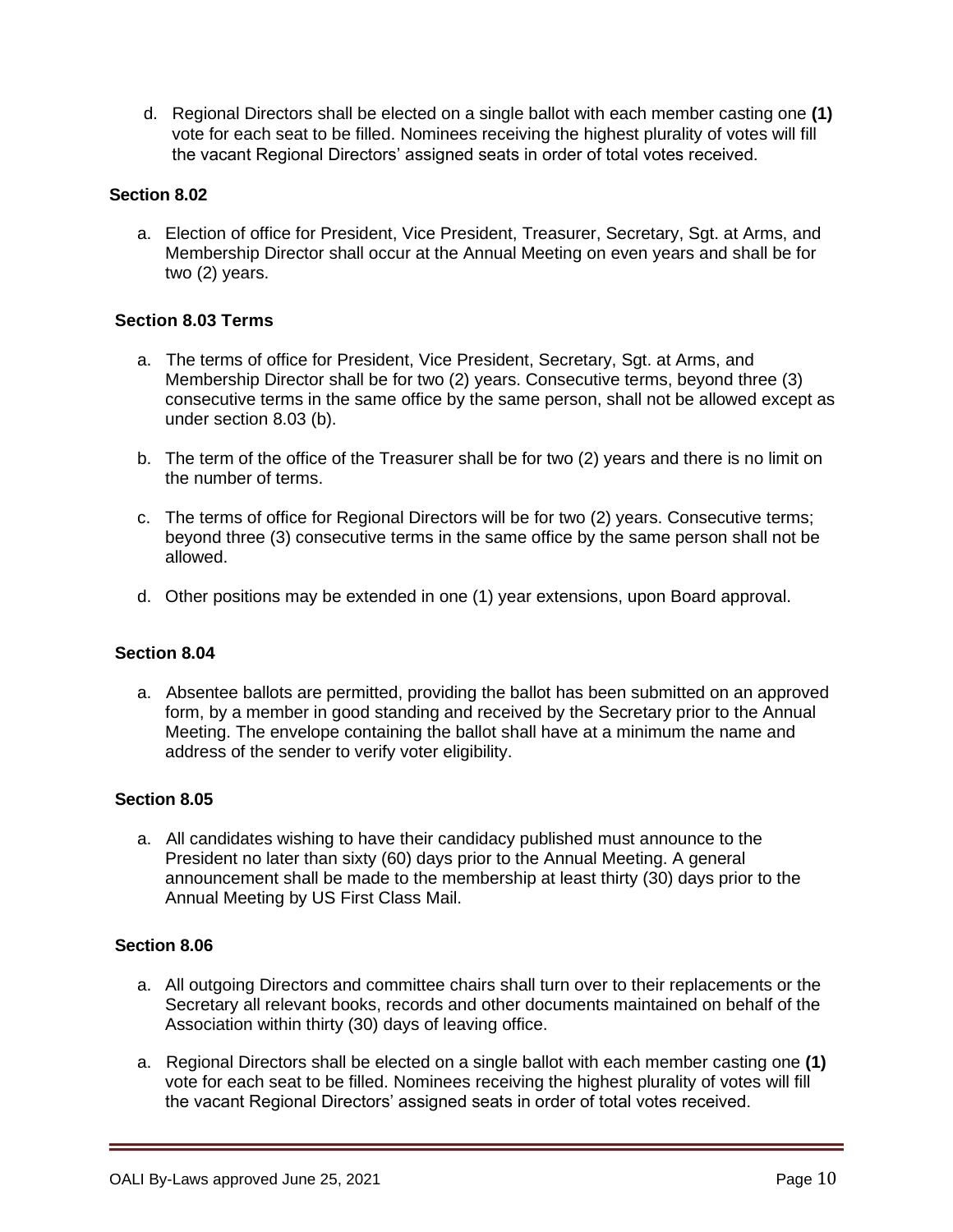d. Regional Directors shall be elected on a single ballot with each member casting one **(1)** vote for each seat to be filled. Nominees receiving the highest plurality of votes will fill the vacant Regional Directors' assigned seats in order of total votes received.

## **Section 8.02**

a. Election of office for President, Vice President, Treasurer, Secretary, Sgt. at Arms, and Membership Director shall occur at the Annual Meeting on even years and shall be for two (2) years.

# **Section 8.03 Terms**

- a. The terms of office for President, Vice President, Secretary, Sgt. at Arms, and Membership Director shall be for two (2) years. Consecutive terms, beyond three (3) consecutive terms in the same office by the same person, shall not be allowed except as under section 8.03 (b).
- b. The term of the office of the Treasurer shall be for two (2) years and there is no limit on the number of terms.
- c. The terms of office for Regional Directors will be for two (2) years. Consecutive terms; beyond three (3) consecutive terms in the same office by the same person shall not be allowed.
- d. Other positions may be extended in one (1) year extensions, upon Board approval.

#### **Section 8.04**

a. Absentee ballots are permitted, providing the ballot has been submitted on an approved form, by a member in good standing and received by the Secretary prior to the Annual Meeting. The envelope containing the ballot shall have at a minimum the name and address of the sender to verify voter eligibility.

#### **Section 8.05**

a. All candidates wishing to have their candidacy published must announce to the President no later than sixty (60) days prior to the Annual Meeting. A general announcement shall be made to the membership at least thirty (30) days prior to the Annual Meeting by US First Class Mail.

#### **Section 8.06**

- a. All outgoing Directors and committee chairs shall turn over to their replacements or the Secretary all relevant books, records and other documents maintained on behalf of the Association within thirty (30) days of leaving office.
- a. Regional Directors shall be elected on a single ballot with each member casting one **(1)**  vote for each seat to be filled. Nominees receiving the highest plurality of votes will fill the vacant Regional Directors' assigned seats in order of total votes received.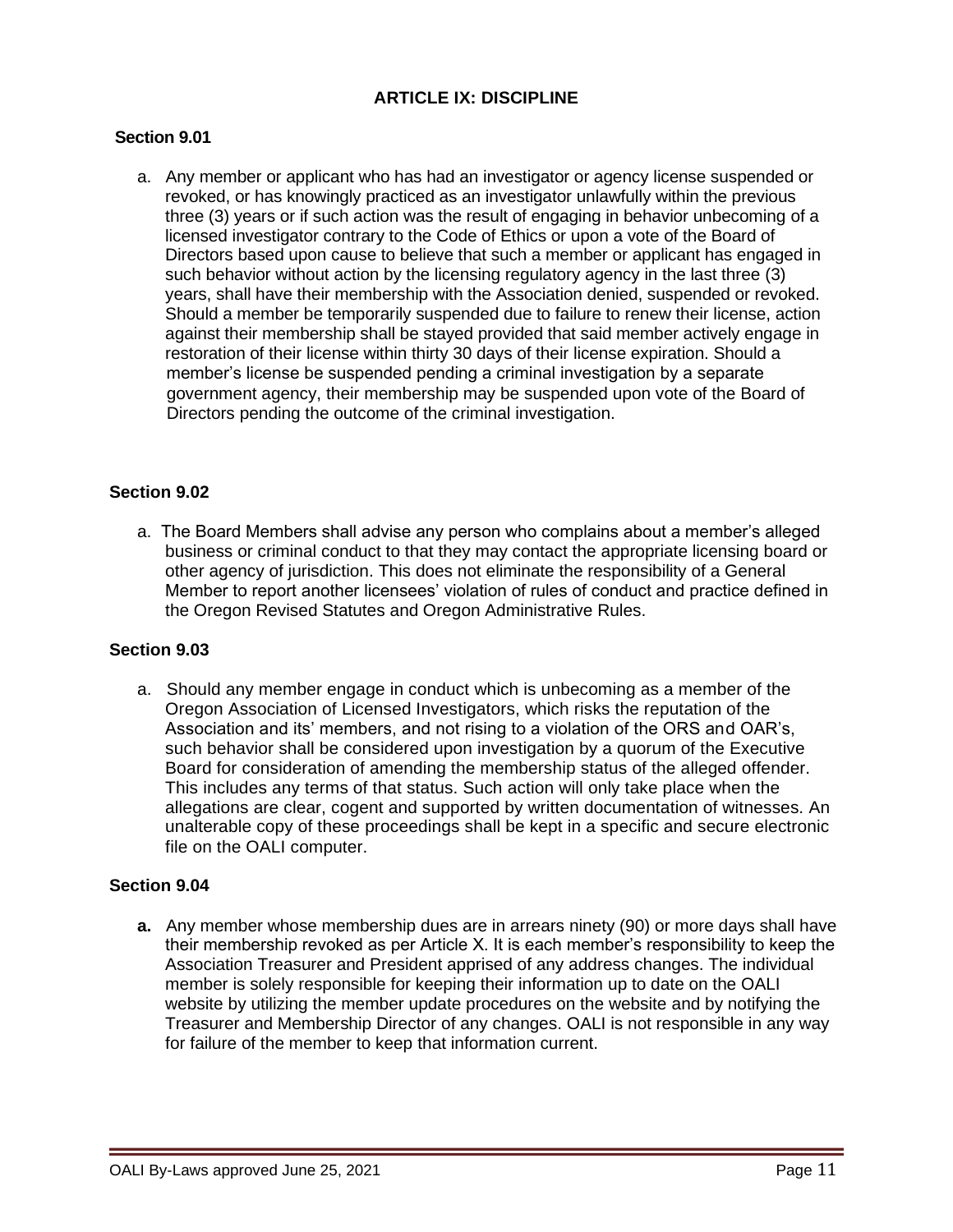# **ARTICLE IX: DISCIPLINE**

## **Section 9.01**

a. Any member or applicant who has had an investigator or agency license suspended or revoked, or has knowingly practiced as an investigator unlawfully within the previous three (3) years or if such action was the result of engaging in behavior unbecoming of a licensed investigator contrary to the Code of Ethics or upon a vote of the Board of Directors based upon cause to believe that such a member or applicant has engaged in such behavior without action by the licensing regulatory agency in the last three (3) years, shall have their membership with the Association denied, suspended or revoked. Should a member be temporarily suspended due to failure to renew their license, action against their membership shall be stayed provided that said member actively engage in restoration of their license within thirty 30 days of their license expiration. Should a member's license be suspended pending a criminal investigation by a separate government agency, their membership may be suspended upon vote of the Board of Directors pending the outcome of the criminal investigation.

#### **Section 9.02**

a. The Board Members shall advise any person who complains about a member's alleged business or criminal conduct to that they may contact the appropriate licensing board or other agency of jurisdiction. This does not eliminate the responsibility of a General Member to report another licensees' violation of rules of conduct and practice defined in the Oregon Revised Statutes and Oregon Administrative Rules.

#### **Section 9.03**

a. Should any member engage in conduct which is unbecoming as a member of the Oregon Association of Licensed Investigators, which risks the reputation of the Association and its' members, and not rising to a violation of the ORS and OAR's, such behavior shall be considered upon investigation by a quorum of the Executive Board for consideration of amending the membership status of the alleged offender. This includes any terms of that status. Such action will only take place when the allegations are clear, cogent and supported by written documentation of witnesses. An unalterable copy of these proceedings shall be kept in a specific and secure electronic file on the OALI computer.

#### **Section 9.04**

**a.** Any member whose membership dues are in arrears ninety (90) or more days shall have their membership revoked as per Article X. It is each member's responsibility to keep the Association Treasurer and President apprised of any address changes. The individual member is solely responsible for keeping their information up to date on the OALI website by utilizing the member update procedures on the website and by notifying the Treasurer and Membership Director of any changes. OALI is not responsible in any way for failure of the member to keep that information current.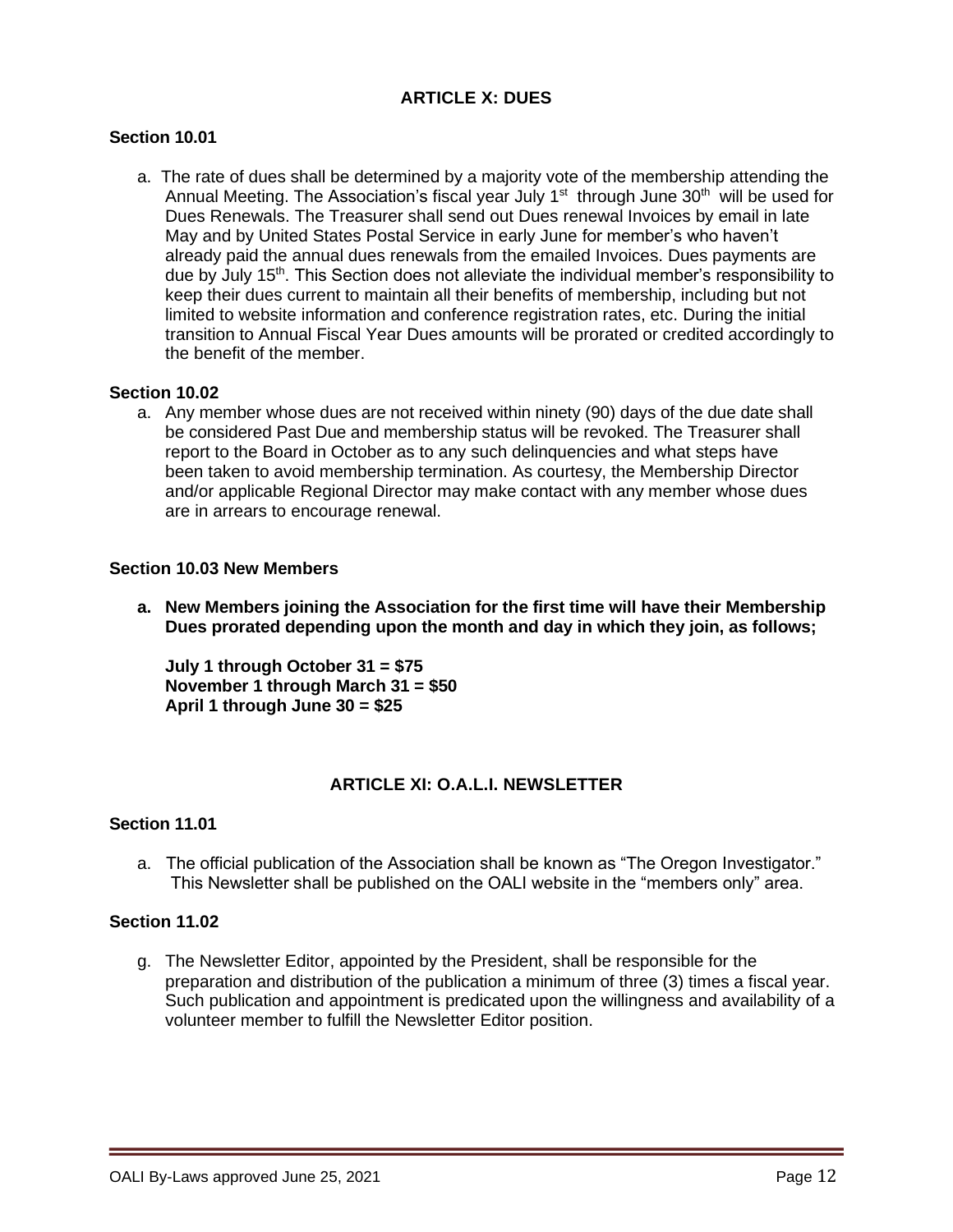## **ARTICLE X: DUES**

## **Section 10.01**

a. The rate of dues shall be determined by a majority vote of the membership attending the Annual Meeting. The Association's fiscal year July 1<sup>st</sup> through June 30<sup>th</sup> will be used for Dues Renewals. The Treasurer shall send out Dues renewal Invoices by email in late May and by United States Postal Service in early June for member's who haven't already paid the annual dues renewals from the emailed Invoices. Dues payments are due by July 15<sup>th</sup>. This Section does not alleviate the individual member's responsibility to keep their dues current to maintain all their benefits of membership, including but not limited to website information and conference registration rates, etc. During the initial transition to Annual Fiscal Year Dues amounts will be prorated or credited accordingly to the benefit of the member.

#### **Section 10.02**

a. Any member whose dues are not received within ninety (90) days of the due date shall be considered Past Due and membership status will be revoked. The Treasurer shall report to the Board in October as to any such delinquencies and what steps have been taken to avoid membership termination. As courtesy, the Membership Director and/or applicable Regional Director may make contact with any member whose dues are in arrears to encourage renewal.

#### **Section 10.03 New Members**

**a. New Members joining the Association for the first time will have their Membership Dues prorated depending upon the month and day in which they join, as follows;**

**July 1 through October 31 = \$75 November 1 through March 31 = \$50 April 1 through June 30 = \$25**

#### **ARTICLE XI: O.A.L.I. NEWSLETTER**

#### **Section 11.01**

a. The official publication of the Association shall be known as "The Oregon Investigator." This Newsletter shall be published on the OALI website in the "members only" area.

#### **Section 11.02**

g. The Newsletter Editor, appointed by the President, shall be responsible for the preparation and distribution of the publication a minimum of three (3) times a fiscal year. Such publication and appointment is predicated upon the willingness and availability of a volunteer member to fulfill the Newsletter Editor position.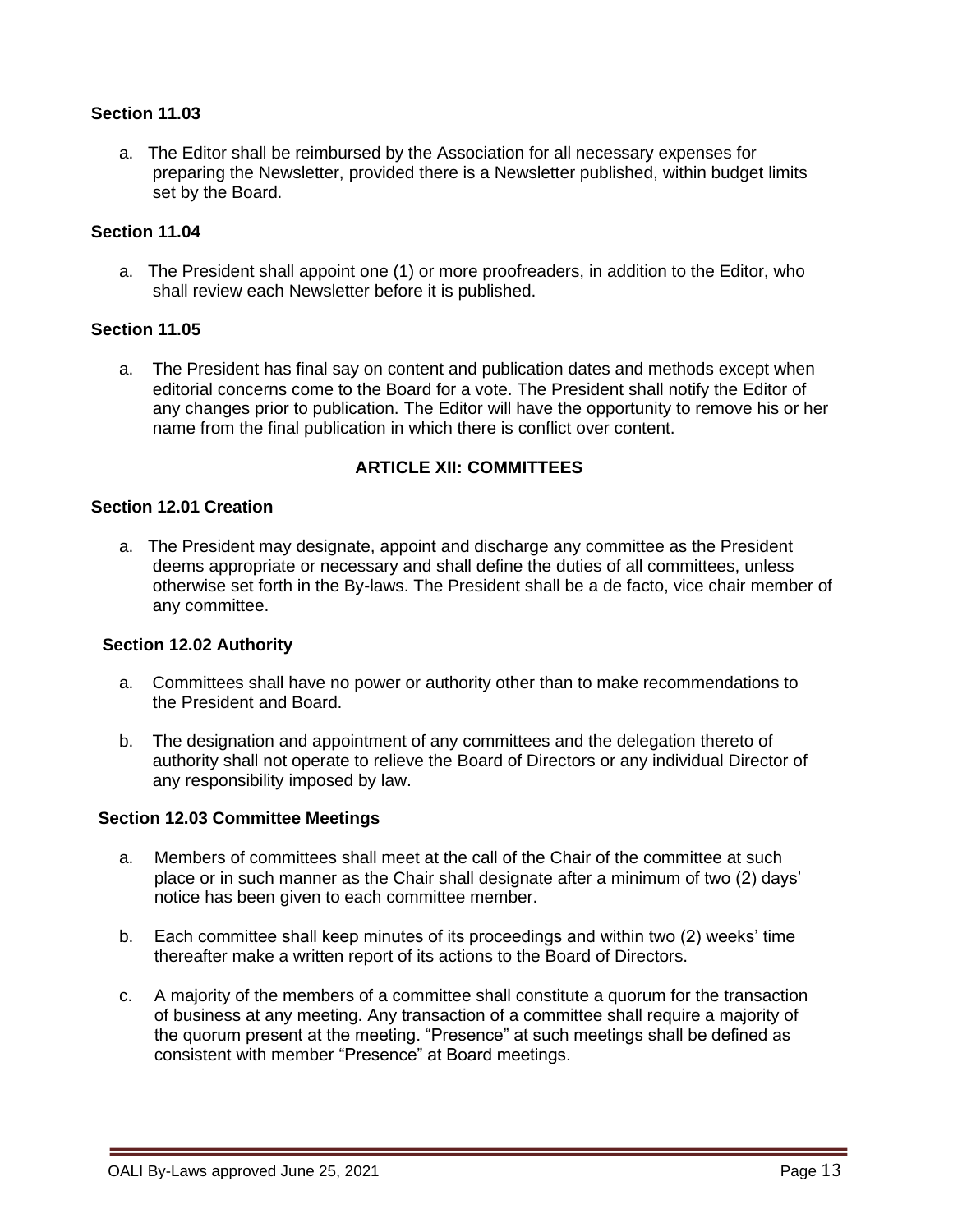## **Section 11.03**

a. The Editor shall be reimbursed by the Association for all necessary expenses for preparing the Newsletter, provided there is a Newsletter published, within budget limits set by the Board.

## **Section 11.04**

a. The President shall appoint one (1) or more proofreaders, in addition to the Editor, who shall review each Newsletter before it is published.

#### **Section 11.05**

a. The President has final say on content and publication dates and methods except when editorial concerns come to the Board for a vote. The President shall notify the Editor of any changes prior to publication. The Editor will have the opportunity to remove his or her name from the final publication in which there is conflict over content.

#### **ARTICLE XII: COMMITTEES**

# **Section 12.01 Creation**

a. The President may designate, appoint and discharge any committee as the President deems appropriate or necessary and shall define the duties of all committees, unless otherwise set forth in the By-laws. The President shall be a de facto, vice chair member of any committee.

#### **Section 12.02 Authority**

- a. Committees shall have no power or authority other than to make recommendations to the President and Board.
- b. The designation and appointment of any committees and the delegation thereto of authority shall not operate to relieve the Board of Directors or any individual Director of any responsibility imposed by law.

#### **Section 12.03 Committee Meetings**

- a. Members of committees shall meet at the call of the Chair of the committee at such place or in such manner as the Chair shall designate after a minimum of two (2) days' notice has been given to each committee member.
- b. Each committee shall keep minutes of its proceedings and within two (2) weeks' time thereafter make a written report of its actions to the Board of Directors.
- c. A majority of the members of a committee shall constitute a quorum for the transaction of business at any meeting. Any transaction of a committee shall require a majority of the quorum present at the meeting. "Presence" at such meetings shall be defined as consistent with member "Presence" at Board meetings.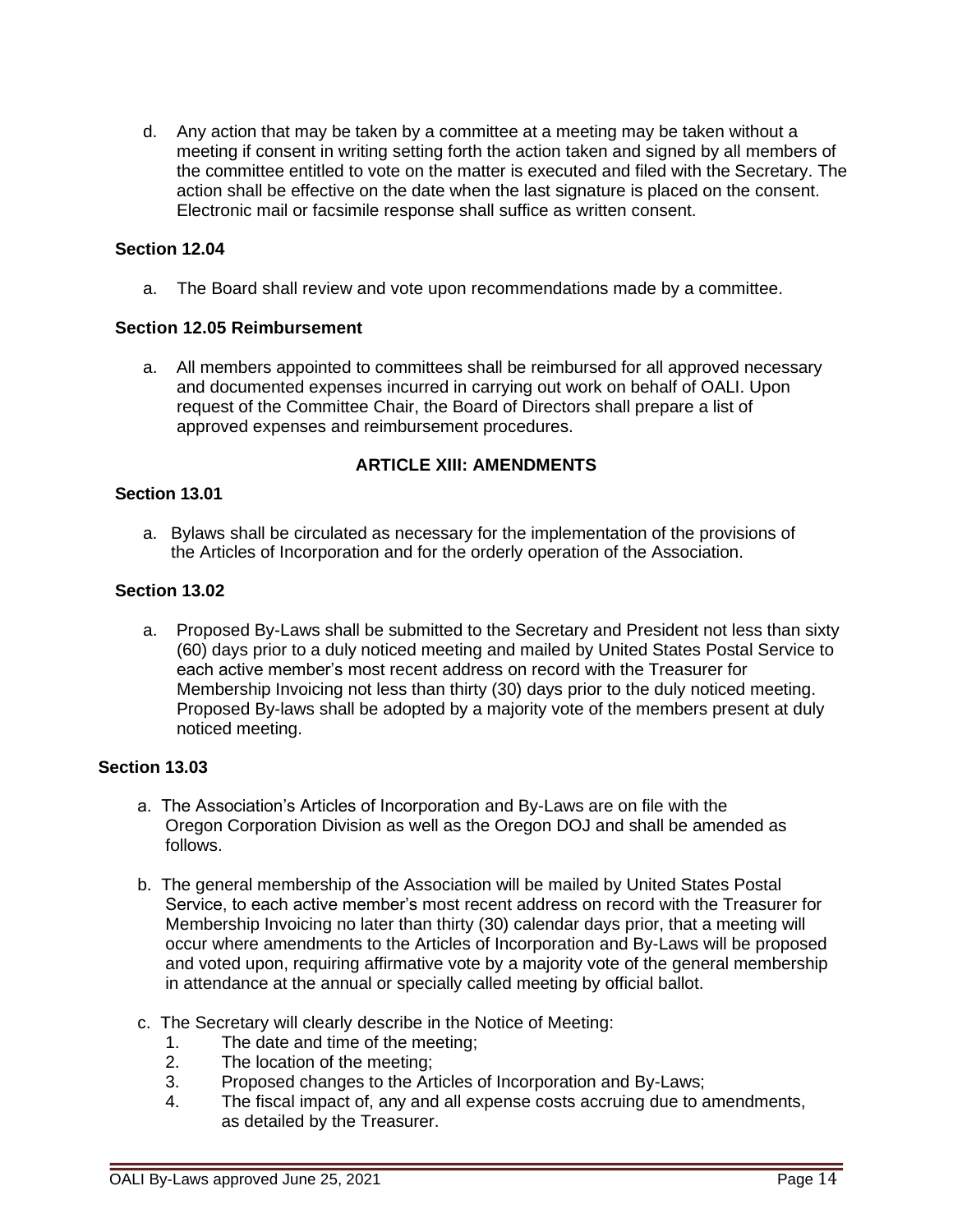d. Any action that may be taken by a committee at a meeting may be taken without a meeting if consent in writing setting forth the action taken and signed by all members of the committee entitled to vote on the matter is executed and filed with the Secretary. The action shall be effective on the date when the last signature is placed on the consent. Electronic mail or facsimile response shall suffice as written consent.

## **Section 12.04**

a. The Board shall review and vote upon recommendations made by a committee.

#### **Section 12.05 Reimbursement**

a. All members appointed to committees shall be reimbursed for all approved necessary and documented expenses incurred in carrying out work on behalf of OALI. Upon request of the Committee Chair, the Board of Directors shall prepare a list of approved expenses and reimbursement procedures.

## **ARTICLE XIII: AMENDMENTS**

#### **Section 13.01**

a. Bylaws shall be circulated as necessary for the implementation of the provisions of the Articles of Incorporation and for the orderly operation of the Association.

#### **Section 13.02**

a. Proposed By-Laws shall be submitted to the Secretary and President not less than sixty (60) days prior to a duly noticed meeting and mailed by United States Postal Service to each active member's most recent address on record with the Treasurer for Membership Invoicing not less than thirty (30) days prior to the duly noticed meeting. Proposed By-laws shall be adopted by a majority vote of the members present at duly noticed meeting.

## **Section 13.03**

- a. The Association's Articles of Incorporation and By-Laws are on file with the Oregon Corporation Division as well as the Oregon DOJ and shall be amended as follows.
- b. The general membership of the Association will be mailed by United States Postal Service, to each active member's most recent address on record with the Treasurer for Membership Invoicing no later than thirty (30) calendar days prior, that a meeting will occur where amendments to the Articles of Incorporation and By-Laws will be proposed and voted upon, requiring affirmative vote by a majority vote of the general membership in attendance at the annual or specially called meeting by official ballot.
- c. The Secretary will clearly describe in the Notice of Meeting:
	- 1. The date and time of the meeting;<br>2. The location of the meeting:
	- The location of the meeting;
	- 3. Proposed changes to the Articles of Incorporation and By-Laws;
	- 4. The fiscal impact of, any and all expense costs accruing due to amendments, as detailed by the Treasurer.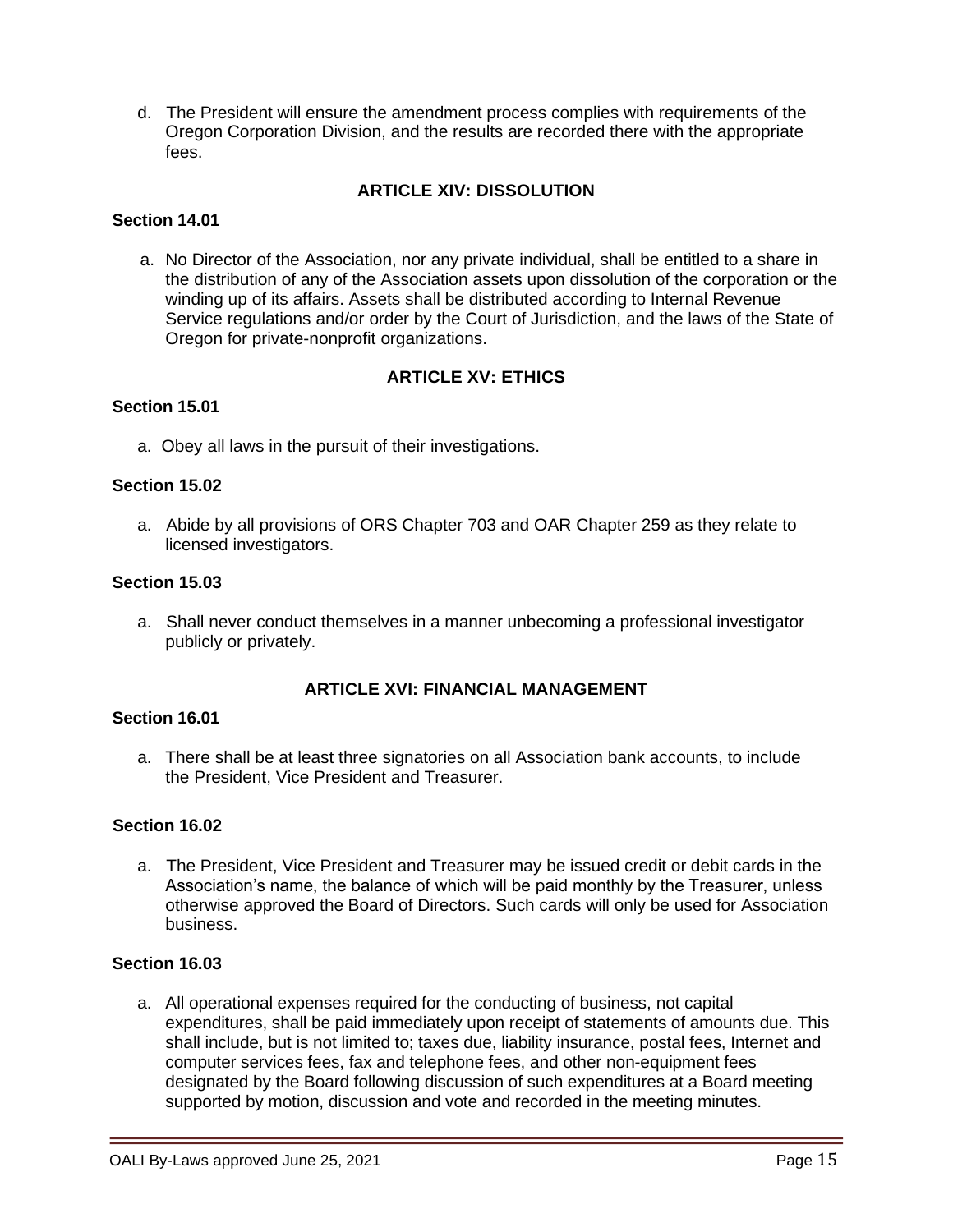d. The President will ensure the amendment process complies with requirements of the Oregon Corporation Division, and the results are recorded there with the appropriate fees.

# **ARTICLE XIV: DISSOLUTION**

#### **Section 14.01**

a. No Director of the Association, nor any private individual, shall be entitled to a share in the distribution of any of the Association assets upon dissolution of the corporation or the winding up of its affairs. Assets shall be distributed according to Internal Revenue Service regulations and/or order by the Court of Jurisdiction, and the laws of the State of Oregon for private-nonprofit organizations.

#### **ARTICLE XV: ETHICS**

#### **Section 15.01**

a. Obey all laws in the pursuit of their investigations.

#### **Section 15.02**

a. Abide by all provisions of ORS Chapter 703 and OAR Chapter 259 as they relate to licensed investigators.

#### **Section 15.03**

a. Shall never conduct themselves in a manner unbecoming a professional investigator publicly or privately.

#### **ARTICLE XVI: FINANCIAL MANAGEMENT**

#### **Section 16.01**

a. There shall be at least three signatories on all Association bank accounts, to include the President, Vice President and Treasurer.

#### **Section 16.02**

a. The President, Vice President and Treasurer may be issued credit or debit cards in the Association's name, the balance of which will be paid monthly by the Treasurer, unless otherwise approved the Board of Directors. Such cards will only be used for Association business.

#### **Section 16.03**

a. All operational expenses required for the conducting of business, not capital expenditures, shall be paid immediately upon receipt of statements of amounts due. This shall include, but is not limited to; taxes due, liability insurance, postal fees, Internet and computer services fees, fax and telephone fees, and other non-equipment fees designated by the Board following discussion of such expenditures at a Board meeting supported by motion, discussion and vote and recorded in the meeting minutes.